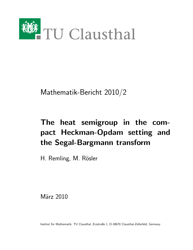

Mathematik-Bericht 2010/2

# The heat semigroup in the compact Heckman-Opdam setting and the Segal-Bargmann transform

H. Remling, M. Rösler

März 2010

Institut für Mathematik, TU Clausthal, Erzstraße 1, D-38678 Clausthal-Zellerfeld, Germany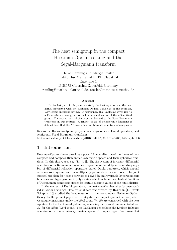# The heat semigroup in the compact Heckman-Opdam setting and the Segal-Bargmann transform

Heiko Remling and Margit Rösler Institut für Mathematik, TU Clausthal Erzstraße 1 D-38678 Clausthal-Zellerfeld, Germany remling@math.tu-clausthal.de, roesler@math.tu-clausthal.de

#### Abstract

In the first part of this paper, we study the heat equation and the heat kernel associated with the Heckman-Opdam Laplacian in the compact, Weyl-group invariant setting. In particular, this Laplacian gives rise to a Feller-Markov semigroup on a fundamental alcove of the affine Weyl group. The second part of the paper is devoted to the Segal-Bargmann transform in our context. A Hilbert space of holomorphic functions is defined such that the  $L^2$ -heat transform becomes a unitary isomorphism.

Keywords: Heckman-Opdam polynomials, trigonometric Dunkl operators, heat semigroup, Segal-Bargmann transform.

Mathematics Subject Classification (2010): 33C52, 33C67, 43A85, 44A15, 47D06.

#### 1 Introduction

Heckman-Opdam theory provides a powerful generalization of the theory of noncompact and compact Riemannian symmetric spaces and their spherical functions. In this theory (see e.g. [11], [12], [6]), the system of invariant differential operators on a Riemannian symmetric space is replaced by a commuting algebra of differential reflection operators, called Dunkl operators, which depend on some root system and on multiplicity parameters on the roots. The joint spectral problem for these operators is solved by multivariable hypergeometric functions and hypergeometric polynomials which include the spherical functions of Riemannian symmetric spaces for certain discrete values of the multiplicities.

In the context of Dunkl operators, the heat equation has already been studied in various settings. The rational case was treated by Rösler in  $[14]$ , while Schapira [16] studied the heat equation in the noncompact Heckman-Opdam theory. In the present paper we investigate the compact symmetric case, where we assume invariance under the Weyl group  $W$ . We are concerned with the heat equation for the Heckman-Opdam Laplacian  $L_m$  on a closed fundamental alcove  $A_0$  for the affine Weyl group. This Laplacian generalizes the Laplace-Beltrami operator on a Riemannian symmetric space of compact type. We prove that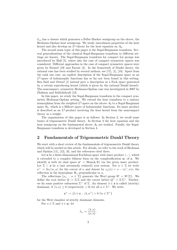$L_m$  has a closure which generates a Feller-Markov semigroup on the alcove, the Heckman-Opdam heat semigroup. We study smoothness properties of the heat kernel and also develop an  $L^p$ -theory for the heat equation on  $A_0$ .

The second main topic of this paper is the Segal-Bargmann transform. Several generalizations of the classical Segal-Bargmann transform to different settings are known. The Segal-Bargmann transform for compact Lie groups was introduced by Hall [5], where also the case of compact symmetric spaces was considered. Different approaches in the case of compact symmetric spaces were given by Stenzel [19] and Faraut [4]. In the framework of Dunkl theory, the rational case has been studied by several authors, see [17], [1], [18]. Apart from the rank one case, an explicit description of the Segal-Bargmann space as an  $L^2$ -space of holomorphic functions has so far not been found in this setting. Ben Saïd and Ørsted [1] instead gave a description as a Fock space generated by a certain reproducing kernel (which is given by the rational Dunkl kernel). The noncompact, symmetric Heckman-Opdam case was investigated in 2007 by Olafsson and Schlichtkrull [13]. ´

In this paper, we study the Segal-Bargmann transform in the compact symmetric Heckman-Opdam setting. We extend the heat transform to a unitary isomorphism from the weighted  $L^2$ -space on the alcove  $A_0$  to a Segal-Bargmann space  $\mathcal{H}_t$ , which is a Hilbert space of holomorphic functions. Its inner product is described as an  $L^2$ -product involving the heat kernel from the noncompact theory as a weight.

The organization of this paper is as follows: In Section 2, we recall some basics of trigonometric Dunkl theory. In Section 3 the heat equation and the heat semigroup on the fundamental alcove  $A_0$  are studied. Finally, the Segal-Bargmann transform is developed in Section 4.

### 2 Fundamentals of Trigonometric Dunkl Theory

We start with a short review of the fundamentals of trigonometric Dunkl theory which will be needed in this article. For details, we refer to the work of Heckman and Opdam [11], [12], [6], and the references cited there.

Let  $\mathfrak a$  be a finite-dimensional Euclidean space with inner product  $\langle \cdot, \cdot \rangle$ , which is extended to a complex bilinear form on the complexification  $a_{\mathbb{C}}$  of  $a$ . We identify **a** with its dual space  $\mathfrak{a}^* = \text{Hom}(\mathfrak{a}, \mathbb{R})$  via the given inner product. Let  $\Sigma \subset \mathfrak{a}$  be a (not necessarily reduced) root system. For  $\alpha \in \Sigma$  we write  $\alpha^{\vee} := 2\alpha/\langle \alpha, \alpha \rangle$  for the coroot of  $\alpha$  and denote by  $s_{\alpha}(x) = x - \langle \alpha^{\vee}, x \rangle \alpha$  the reflection in the hyperplane  $H_{\alpha}$  perpendicular to  $\alpha$ .

The reflections  $\{s_\alpha : \alpha \in \Sigma\}$  generate the Weyl group  $W = W(\Sigma)$ . We define the root lattice  $Q := \mathbb{Z} \Sigma$  and the coroot lattice  $Q^{\vee} = \mathbb{Z} \Sigma^{\vee}$ . Further, we fix some positive subsystem  $\Sigma^+$  of  $\Sigma$ . An element  $\lambda \in \mathfrak{a}$  is called (strictly) dominant, if  $\langle \lambda, \alpha \rangle \ge 0$  (respectively > 0) for all  $\alpha \in \Sigma^+$ . We write

$$
\mathfrak{a}^+ := \{ \lambda \in \mathfrak{a} \, : \, \langle \lambda, \alpha^\vee \rangle > 0 \,\,\forall \alpha \in \Sigma^+ \}
$$

for the Weyl chamber of strictly dominant elements.

For  $\alpha \in \Sigma$  and  $\lambda \in \mathfrak{a}_{\mathbb{C}}$  let

$$
\lambda_{\alpha} := \frac{\langle \lambda, \alpha \rangle}{\langle \alpha, \alpha \rangle}.
$$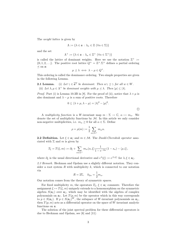The weight lattice is given by

$$
\Lambda:=\{\lambda\in\mathfrak{a}\,:\,\lambda_{\alpha}\in\mathbb{Z}\,\,(\forall\alpha\in\Sigma)\}
$$

and the set

$$
\Lambda^+ := \{ \lambda \in \mathfrak{a} \, : \, \lambda_\alpha \in \mathbb{Z}^+ \, \left( \forall \alpha \in \Sigma^+ \right) \}
$$

is called the lattice of dominant weights. Here we use the notation  $\mathbb{Z}^+ :=$  $\{0, 1, 2, \ldots\}$ . The positive root lattice  $Q^+ = \mathbb{Z}^+ \cdot \Sigma^+$  defines a partial ordering  $\preceq$  on  $a$ :

$$
\mu \preceq \lambda \iff \lambda - \mu \in Q^+.
$$

This ordering is called the dominance ordering. Two simple properties are given in the following Lemma.

**2.1 Lemma.** (i) Let  $\gamma \in \overline{\mathfrak{a}^+}$  be dominant. Then  $w\gamma \preceq \gamma$  for all  $w \in W$ . (ii) Let  $\lambda, \mu \in \Lambda^+$  be dominant weights with  $\mu \preceq \lambda$ . Then  $|\mu| \leq |\lambda|$ .

*Proof.* Part (i) is Lemma 10.3B in [8]. For the proof of (ii), notice that  $\lambda + \mu$  is also dominant and  $\lambda - \mu$  is a sum of positive roots. Therefore

$$
0 \le \langle \lambda + \mu, \lambda - \mu \rangle = |\lambda|^2 - |\mu|^2.
$$

A multiplicity function is a W-invariant map  $m : \Sigma \to \mathbb{C}, \alpha \mapsto m_{\alpha}$ . We denote the set of multiplicity functions by  $M$ . In this article we only consider non-negative multiplicities, i.e.  $m_{\alpha} \geq 0$  for all  $\alpha \in \Sigma$ . Define

$$
\rho = \rho(m) := \frac{1}{2} \sum_{\alpha \in \Sigma^{+}} m_{\alpha} \alpha.
$$

**2.2 Definition.** Let  $\xi \in \mathfrak{a}_{\mathbb{C}}$  and  $m \in \mathcal{M}$ . The *Dunkl-Cherednik operator* associated with  $\Sigma$  and m is given by

$$
T_{\xi} = T(\xi, m) := \partial_{\xi} + \sum_{\alpha \in \Sigma^{+}} m_{\alpha} \langle \alpha, \xi \rangle \frac{1}{1 - e^{-2\alpha}} (1 - s_{\alpha}) - \langle \rho, \xi \rangle,
$$

where  $\partial_{\xi}$  is the usual directional derivative and  $e^{\lambda}(\xi) := e^{\langle \lambda, \xi \rangle}$  for  $\lambda, \xi \in \mathfrak{a}_{\mathbb{C}}$ .

2.3 Remark. Heckman and Opdam use a slightly different notation. They consider a root system  $R$  with multiplicity  $k$ , which is connected to our notation via

$$
R = 2\Sigma, \quad k_{2\alpha} = \frac{1}{2}m_{\alpha}.
$$

Our notation comes from the theory of symmetric spaces.

For fixed multiplicity m, the operators  $T_{\xi}$ ,  $\xi \in \mathfrak{a}_{\mathbb{C}}$  commute. Therefore the assignment  $\xi \mapsto T(\xi, m)$  uniquely extends to a homomorphism on the symmetric algebra  $S(\mathfrak{a}_{\mathbb{C}})$  over  $\mathfrak{a}_{\mathbb{C}}$ , which may be identified with the algebra of complex polynomials on  $a_{\mathbb{C}}$ . Let  $T(p, m)$  be the operator which in this way corresponds to  $p \in S(\mathfrak{a}_{\mathbb{C}})$ . If  $p \in S(\mathfrak{a}_{\mathbb{C}})^W$ , the subspace of W-invariant polynomials on  $\mathfrak{a}_{\mathbb{C}}$ , then  $T(p, m)$  acts as a differential operator on the space of W-invariant analytic functions on a.

The solution of the joint spectral problem for these differential operators is due to Heckman and Opdam, see [6] and [11]: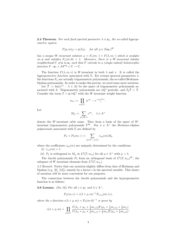**2.4 Theorem.** For each fixed spectral parameter  $\lambda \in \mathfrak{a}_{\mathbb{C}}$ , the so-called hypergeometric system

$$
T(p,m)\varphi = p(\lambda)\varphi
$$
 for all  $p \in S(\mathfrak{a}_{\mathbb{C}})^W$ 

has a unique W-invariant solution  $\varphi = F_{\lambda}(m; \cdot) = F(\lambda, m; \cdot)$  which is analytic on **a** and satisfies  $F_{\lambda}(m;0) = 1$ . Moreover, there is a W-invariant tubular neighborhood U of  $a$  in  $a_{\mathbb{C}}$  such that F extends to a (single-valued) holomorphic function  $F: \mathfrak{a}_\mathbb{C} \times \mathcal{M}^{\text{reg}} \times U \to \mathbb{C}$ .

The function  $F(\lambda, m; x)$  is W-invariant in both  $\lambda$  and x. It is called the hypergeometric function associated with  $\Sigma$ . For certain spectral parameters  $\lambda$ , the functions  $F_{\lambda}$  are actually trigonometric polynomials, the so-called Heckman-Opdam polynomials. In order to make this precise, we need some more notation.

Let  $\mathcal{T} := \text{lin}\{e^{i\lambda} : \lambda \in \Lambda\}$  be the space of trigonometric polynomials associated with Λ. Trigonometric polynomials are  $\pi Q^{\vee}$ -periodic, and  $T_{\xi} \mathcal{T} \subset \mathcal{T}$ . Consider the torus  $T = \frac{\mathfrak{a}}{\pi Q^{\vee}}$  with the W-invariant weight function

$$
w_m := \prod_{\alpha \in \Sigma^+} \left| e^{i\alpha} - e^{-i\alpha} \right|^{m_\alpha}.
$$

Let

$$
M_{\lambda}:=\sum_{\mu\in W.\lambda}e^{i\mu},\quad\lambda\in\Lambda^+
$$

denote the W-invariant orbit sums. They form a basis of the space of  $W$ invariant trigonometric polynomials  $\mathcal{T}^W$ . For  $\lambda \in \Lambda^+$  the Heckman-Opdam polynomials associated with  $\Sigma$  are defined by

$$
P_{\lambda} = P_{\lambda}(m; \cdot) := \sum_{\mu \in \Lambda^+, \mu \preceq \lambda} c_{\lambda \mu}(m) M_{\mu}
$$

where the coefficients  $c_{\lambda\mu}(m)$  are uniquely determined by the conditions (i)  $c_{\lambda\lambda}(m)=1$ 

(ii)  $P_{\lambda}$  is orthogonal to  $M_{\mu}$  in  $L^2(T; w_m)$  for all  $\mu \in \Lambda^+$  with  $\mu \prec \lambda$ .

The Jacobi polynomials  $P_{\lambda}$  form an orthogonal basis of  $L^2(T, w_m)^W$ , the subspace of W-invariant elements from  $L^2(T, w_m)$ .

2.5 Remark. Notice that our notation slightly differs from that of Heckman and Opdam (e.g.  $[6]$ ,  $[12]$ ), namely by a factor i in the spectral variable. This choice of notation will be more convenient for our purposes.

The connection between the Jacobi polynomials and the hypergeometric function is as follows:

**2.6 Lemma.** (See [6]) For all  $z \in \mathfrak{a}_{\mathbb{C}}$  and  $\lambda \in \Lambda^+$ ,

$$
P_{\lambda}(m; z) = c(\lambda + \rho, m)^{-1} F_{\lambda + \rho}(m; iz),
$$

where the c-function  $c(\lambda + \rho, m) = P_{\lambda}(m; 0)^{-1}$  is given by

$$
c(\lambda + \rho, m) = \prod_{\alpha \in \Sigma^+} \frac{\Gamma(\lambda_\alpha + \rho_\alpha + \frac{1}{4}m_{\alpha/2})\Gamma(\rho_\alpha + \frac{1}{4}m_{\alpha/2} + \frac{1}{2}m_\alpha)}{\Gamma(\lambda_\alpha + \rho_\alpha + \frac{1}{4}m_{\alpha/2} + \frac{1}{2}m_\alpha)\Gamma(\rho_\alpha + \frac{1}{4}m_{\alpha/2})}.
$$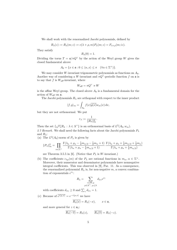We shall work with the renormalized Jacobi polynomials, defined by

$$
R_{\lambda}(z) := R_{\lambda}(m; z) := c(\lambda + \rho, m) P_{\lambda}(m; z) = F_{\lambda + \rho}(m; iz).
$$

They satisfy

$$
R_{\lambda}(0)=1.
$$

Dividing the torus  $T = \frac{\mathfrak{a}}{\pi Q^{\vee}}$  by the action of the Weyl group W gives the closed fundamental alcove

$$
A_0 = \{x \in \mathfrak{a} : 0 \le \langle \alpha, x \rangle \le \pi \quad (\forall \alpha \in \Sigma^+) \}.
$$

We may consider W-invariant trigonometric polynomials as functions on  $A_0$ . Another way of considering a W-invariant and  $\pi Q^{\vee}$ -periodic function f on a is to say that  $f$  is  $W_{\text{aff}}$ -invariant, where

$$
W_{\text{aff}} = \pi Q^{\vee} \rtimes W
$$

is the affine Weyl group. The closed alcove  $A_0$  is a fundamental domain for the action of  $W_{\text{aff}}$  on  $\mathfrak{a}$ .

The Jacobi polynomials  $R_{\lambda}$  are orthogonal with respect to the inner product

$$
\langle f, g \rangle_m = \int_{A_0} f(x) \overline{g(x)} w_m(x) \, dx,
$$

but they are not orthonormal. We put

$$
r_{\lambda} := \frac{1}{\|R_{\lambda}\|_m^2}.
$$

Then the set  $\{\sqrt{r_{\lambda}}R_{\lambda} : \lambda \in \Lambda^+\}$  is an orthonormal basis of  $L^2(A_0, w_m)$ . 2.7 Remark. We shall need the following facts about the Jacobi polynomials  $P_{\lambda}$ and  $R_{\lambda}$ :

(a) The  $L^2(A_0)$ -norm of  $P_\lambda$  is given by

$$
||P_{\lambda}||_{m}^{2} = \prod_{\alpha \in \Sigma^{+}} \frac{\Gamma(\lambda_{\alpha} + \rho_{\alpha} - \frac{1}{4}m_{\alpha/2} - \frac{1}{2}m_{\alpha} + 1)}{\Gamma(\lambda_{\alpha} + \rho_{\alpha} - \frac{1}{4}m_{\alpha/2} + 1)} \cdot \frac{\Gamma(\lambda_{\alpha} + \rho_{\alpha} + \frac{1}{4}m_{\alpha/2} + \frac{1}{2}m_{\alpha})}{\Gamma(\lambda_{\alpha} + \rho_{\alpha} + \frac{1}{4}m_{\alpha/2})}
$$

see Theorem 3.5.5 in [6]. (Notice that  $P_{\lambda}$  is W-invariant.)

(b) The coefficients  $c_{\lambda\mu}(m)$  of the  $P_{\lambda}$  are rational functions in  $m_{\alpha}, \alpha \in \Sigma^{+}$ . Moreover, their numerator and denominator polynomials have nonnegative integral coefficients. This was observed in [9], Par. 11. As a consequence, the renormalized polynomial  $R_{\lambda}$  is, for non-negative m, a convex combination of exponentials  $e^{i\gamma}$ :

$$
R_{\lambda} = \sum_{\substack{\gamma \in W.\mu \\ \mu \in \Lambda^+, \ \mu \preceq \lambda}} d_{\lambda \gamma} e^{i \gamma}
$$

with coefficients  $d_{\lambda\gamma} \ge 0$  and  $\sum_{\gamma} d_{\lambda\gamma} = 1$ .

(c) Because of  $e^{i\langle \mu, x \rangle} = e^{-i\langle \mu, x \rangle}$  we have

$$
\overline{R_{\lambda}(x)} = R_{\lambda}(-x), \qquad x \in \mathfrak{a},
$$

and more general for  $z \in \mathfrak{a}_{\mathbb{C}}$ :

$$
\overline{R_{\lambda}(-\overline{z})} = R_{\lambda}(z), \qquad \overline{R_{\lambda}(\overline{z})} = R_{\lambda}(-z).
$$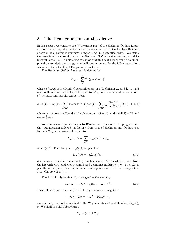#### 3 The heat equation on the alcove

In this section we consider the  $W$ -invariant part of the Heckman-Opdam Laplacian on the alcove, which coincides with the radial part of the Laplace Beltrami operator of a compact symmetric space  $U/K$  in geometric cases. We study the associated heat semigroup - the *Heckman-Opdam heat semigroup* - and its integral kernel  $\Gamma_m$ . In particular, we show that this heat kernel can be holomorphically extended to  $\mathfrak{a}_{\mathbb{C}} \times \mathfrak{a}_{\mathbb{C}}$ , which will be important for the following section, where we study the Segal-Bargmann transform.

The Heckman-Opdam Laplacian is defined by

$$
\Delta_m := \sum_{i=1}^q T(\xi_i, m)^2 - |\rho|^2
$$

where  $T(\xi_i, m)$  is the Dunkl-Cherednik operator of Definition 2.2 and  $\{\xi_1, \ldots, \xi_q\}$ is an orthonormal basis of  $\alpha$ . The operator  $\Delta_m$  does not depend on the choice of the basis and has the explicit form

$$
\Delta_m f(x) = \Delta f(x) + \sum_{\alpha \in \Sigma^+} m_\alpha \coth\langle \alpha, x \rangle \partial_\alpha f(x) - \sum_{\alpha \in \Sigma^+} \frac{m_\alpha |\alpha|^2}{2 \sinh^2 \langle \alpha, x \rangle} (f(x) - f(s_\alpha x))
$$

where  $\Delta$  denotes the Euclidean Laplacian on  $\alpha$  (See [16] and recall  $R = 2\Sigma$  and  $k_{2\alpha} = \frac{1}{2}m_{\alpha}$ ).

We now restrict our attention to W-invariant functions. Keeping in mind that our notation differs by a factor  $i$  from that of Heckman and Opdam (see Remark 2.5), we consider the operator

$$
L_m := \Delta + \sum_{\alpha \in \Sigma^+} m_\alpha \cot \langle \alpha, x \rangle \partial_\alpha
$$

on  $C^2(\mathfrak{a})^W$ . Then for  $f(x) = g(ix)$ , we just have

$$
L_m f(x) = -(\Delta_m g)(ix). \tag{3.1}
$$

3.1 Remark. Consider a compact symmetric space  $U/K$  on which K acts from the left with restricted root system  $\Sigma$  and geometric multiplicity m. Then  $L_m$  is just the radial part of the Laplace-Beltrami operator on  $U/K$ . See Proposition 3.11, Chapter II in [7].

The Jacobi polynomials  $R_{\lambda}$  are eigenfunctions of  $L_m$ :

$$
L_m R_\lambda = -\langle \lambda, \lambda + 2\rho \rangle R_\lambda, \quad \lambda \in \Lambda^+.
$$
 (3.2)

This follows from equation (3.1). The eigenvalues are negative,

$$
-\langle \lambda, \lambda + 2\rho \rangle = -|\lambda|^2 - 2\langle \lambda, \rho \rangle \le 0
$$

since  $\lambda$  and  $\rho$  are both contained in the Weyl chamber  $\overline{\mathfrak{a}^+}$  and therefore  $\langle \lambda, \rho \rangle$  > 0. We shall use the abbreviation

$$
\theta_{\lambda} := \langle \lambda, \lambda + 2\rho \rangle.
$$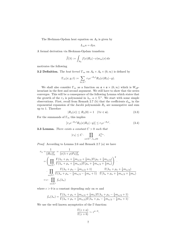The Heckman-Opdam heat equation on  $A_0$  is given by

$$
L_m u = \partial_t u.
$$

A formal derivation via Heckman-Opdam transform

$$
\widehat{f}(\lambda) := \int_{A_0} f(x) R_{\lambda}(-x) w_m(x) \, dx
$$

motivates the following

**3.2 Definition.** The heat kernel  $\Gamma_m$  on  $A_0 \times A_0 \times (0, \infty)$  is defined by

$$
\Gamma_m(x, y, t) := \sum_{\lambda \in \Lambda^+} r_{\lambda} e^{-\theta_{\lambda} t} R_{\lambda}(x) R_{\lambda}(-y).
$$

We shall also consider  $\Gamma_m$  as a function on  $\mathfrak{a} \times \mathfrak{a} \times (0, \infty)$  which is  $W_{\text{aff}}$ invariant in the first and second argument. We still have to show that the series converges. This will be a consequence of the following Lemma which states that the growth of the  $r_{\lambda}$  is polynomial in  $\lambda_{\alpha}$ ,  $\alpha \in \Sigma^{+}$ . We start with some simple observations. First, recall from Remark 2.7 (b) that the coefficients  $d_{\lambda\mu}$  in the exponential expansion of the Jacobi polynomials  $R_{\lambda}$  are nonnegative and sum up to 1. Therefore

$$
|R_{\lambda}(x)| \le R_{\lambda}(0) = 1 \quad (\forall x \in \mathfrak{a}). \tag{3.3}
$$

For the summands of  $\Gamma_m$  this implies

$$
\left| r_{\lambda} e^{-\theta_{\lambda} t} R_{\lambda}(x) R_{\lambda}(-y) \right| \le r_{\lambda} e^{-\theta_{\lambda} t}.
$$
 (3.4)

**3.3 Lemma.** There exists a constant  $C > 0$  such that

$$
|r_\lambda|\leq C\cdot\prod_{\alpha\in\Sigma^+,\,\lambda_\alpha\neq 0}\lambda_\alpha^{m_\alpha}.
$$

Proof. According to Lemma 2.6 and Remark 2.7 (a) we have

$$
r_{\lambda} = \frac{1}{\|R_{\lambda}\|_{m}^{2}} = \frac{1}{\|c(\lambda + \rho)P_{\lambda}\|_{m}^{2}}
$$
  
\n
$$
= \left(\prod_{\alpha \in \Sigma^{+}} \frac{\Gamma(\lambda_{\alpha} + \rho_{\alpha} + \frac{1}{4}m_{\alpha/2} + \frac{1}{2}m_{\alpha})\Gamma(\rho_{\alpha} + \frac{1}{4}m_{\alpha/2})}{\Gamma(\lambda_{\alpha} + \rho_{\alpha} + \frac{1}{4}m_{\alpha/2})\Gamma(\rho_{\alpha} + \frac{1}{4}m_{\alpha/2} + \frac{1}{2}m_{\alpha})}\right)^{2}.
$$
  
\n
$$
\cdot \prod_{\alpha \in \Sigma^{+}} \frac{\Gamma(\lambda_{\alpha} + \rho_{\alpha} - \frac{1}{4}m_{\alpha/2} + 1)}{\Gamma(\lambda_{\alpha} + \rho_{\alpha} - \frac{1}{4}m_{\alpha/2} - \frac{1}{2}m_{\alpha} + 1)} \cdot \frac{\Gamma(\lambda_{\alpha} + \rho_{\alpha} + \frac{1}{4}m_{\alpha/2})}{\Gamma(\lambda_{\alpha} + \rho_{\alpha} + \frac{1}{4}m_{\alpha/2} + \frac{1}{2}m_{\alpha})}
$$
  
\n
$$
= c \cdot \prod_{\alpha \in \Sigma^{+}} f_{\alpha}(\lambda_{\alpha})
$$

where  $c > 0$  is a constant depending only on m and

$$
f_{\alpha}(\lambda_{\alpha}) = \frac{\Gamma(\lambda_{\alpha} + \rho_{\alpha} + \frac{1}{4}m_{\alpha/2} + \frac{1}{2}m_{\alpha})\Gamma(\lambda_{\alpha} + \rho_{\alpha} - \frac{1}{4}m_{\alpha/2} + 1)}{\Gamma(\lambda_{\alpha} + \rho_{\alpha} + \frac{1}{4}m_{\alpha/2})\Gamma(\lambda_{\alpha} + \rho_{\alpha} - \frac{1}{4}m_{\alpha/2} - \frac{1}{2}m_{\alpha} + 1)}.
$$

We use the well known asymptotics of the Γ-function:

$$
\frac{\Gamma(z+a)}{\Gamma(z+b)} \sim z^{a-b}.
$$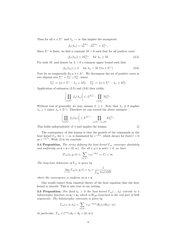Then for all  $\alpha \in \Sigma^+$  and  $\lambda_{\alpha} \to \infty$  this implies the asymptotic

$$
f_{\alpha}(\lambda_{\alpha}) \sim \lambda_{\alpha}^{\frac{1}{2}m_{\alpha}} \cdot \lambda_{\alpha}^{\frac{1}{2}m_{\alpha}} = \lambda_{\alpha}^{m_{\alpha}},
$$

Since  $\Sigma^+$  is finite, we find a constant  $M > 0$  such that for all positive roots

$$
|f_{\alpha}(\lambda_{\alpha})| \le 2\lambda_{\alpha}^{m_{\alpha}} \quad \text{ for } \lambda_{\alpha} \ge M. \tag{3.5}
$$

Fix such M, and denote by  $L > 0$  a common upper bound such that

$$
|f_{\alpha}(\lambda_{\alpha})| \le L \quad \text{for } \lambda_{\alpha} < M \ (\forall \alpha \in \Sigma^{+}). \tag{3.6}
$$

Now let us temporarily fix a  $\lambda \in \Lambda^+$ . We decompose the set of positive roots in two disjoint sets  $\Sigma^+ = \Sigma_1^+ \cup \Sigma_2^+$ , where

$$
\Sigma_1^+:=\{\alpha\in\Sigma^+\,:\,\lambda_\alpha
$$

Application of estimates (3.5) and (3.6) then yields:

**Contract Contract** 

 $\sim$ 

**Contractor** 

$$
\left|\prod_{\alpha \in \Sigma^{+}} f_{\alpha}(\lambda_{\alpha})\right| \leq L^{|\Sigma_{1}^{+}|} \cdot \prod_{\alpha \in \Sigma_{2}^{+}} 2\lambda_{\alpha}^{m_{\alpha}}.
$$

Without loss of generality we may assume  $L \geq 1$ . Note that  $\lambda_{\alpha} \neq 0$  implies  $\lambda_{\alpha} \geq 1$  (since  $\lambda_{\alpha} \in \mathbb{Z}^{+}$ ). Therefore we can extend the above estimate:

$$
\left|\prod_{\alpha\in\Sigma^+}f_\alpha(\lambda_\alpha)\right|\leq L^{|\Sigma^+|}\cdot\prod_{\alpha\in\Sigma^+,\,\lambda_\alpha\neq 0}2\lambda_\alpha^{m_\alpha}.
$$

This holds independently of  $\lambda$  and implies the lemma.

The consequence of this lemma is that the growth of the summands in the heat kernel  $\Gamma_m$  for  $\lambda \to \infty$  is dominated by  $e^{-\theta_\lambda t}$ , which decays for fixed  $t > 0$ as  $e^{-|\lambda|^2 t}$ . With (3.4) we conclude

**3.4 Proposition.** The series defining the heat kernel  $\Gamma_m$  converges absolutely and uniformly on  $a \times a \times (0, \infty)$ . For all  $x, y \in a$  and  $t > 0$ , we have

$$
|\Gamma_m(x, y, t)| \le \sum_{\lambda \in \Lambda^+} r_{\lambda} e^{-\theta_{\lambda} t} =: C_t < \infty.
$$

The long-time behaviour of  $\Gamma_m$  is given by

$$
\lim_{t \to \infty} \Gamma_m(x, y, t) = r_0 = \frac{1}{\int_{A_0} w_m(x) dx}
$$

where the convergence is uniform on  $a \times a$ .

One would expect from classical theory of the heat equation that the heat kernel is smooth. This is also true in our setting.

**3.5 Proposition.** For fixed  $t_0 > 0$  the heat kernel  $\Gamma_m(\cdot, \cdot, t_0)$  extends to a holomorphic function on  $a_{\mathbb{C}} \times a_{\mathbb{C}}$  which is  $W_{\text{aff}}$ -invariant in the real part of both arguments. The holomorphic extension is given by

$$
\Gamma_m(z, w, t_0) = \sum_{\lambda \in \Lambda^+} r_{\lambda} e^{-\theta_{\lambda} t_0} R_{\lambda}(z) R_{\lambda}(-w).
$$

In particular,  $\Gamma_m \in C^{\infty}(A_0 \times A_0 \times (0, \infty)).$ 

 $\Box$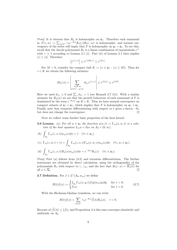*Proof.* It is obvious that  $R_{\lambda}$  is holomorphic on  $a_{\mathbb{C}}$ . Therefore each summand in  $F(z, w) := \sum_{\lambda \in \Lambda^+} r_{\lambda} e^{-\theta_{\lambda} t} R_{\lambda}(z) R_{\lambda}(-w)$  is holomorphic, and normal convergence of the series will imply that F is holomorphic on  $\mathfrak{a}_{\mathbb{C}} \times \mathfrak{a}_{\mathbb{C}}$ . To see this, recall that the Jacobi polynomial  $R_{\lambda}$  is a linear combination of exponentials  $e^{i\gamma}$ with  $\gamma \preceq \lambda$  according to Lemma 2.1 (i). Part (ii) of Lemma 2.1 then implies  $|\gamma| \leq |\lambda|$ . Therefore

$$
\left|e^{i\langle\gamma,z\rangle}\right|\leq e^{|\gamma||\text{Im}\,z|}\leq e^{|\lambda||z|}.
$$

For  $M > 0$ , consider the compact ball  $K := \{z \in \mathfrak{a}_{\mathbb{C}} : |z| \leq M\}$ . Then for  $z \in K$  we obtain the following estimate:

 $\overline{1}$ 

$$
|R_\lambda(z)| = \left|\sum_{\substack{\gamma \in W.\mu \\ \mu \in \Lambda^+, \ \mu \preceq \lambda}} d_{\lambda \gamma} e^{i \langle \gamma, z \rangle} \right| \leq e^{|\lambda| |z|} \leq e^{|\lambda| M}.
$$

Here we used  $d_{\lambda\gamma} \geq 0$  and  $\sum_{\gamma} d_{\lambda\gamma} = 1$  (see Remark 2.7 (b)). With a similar estimate for  $R_{\lambda}(w)$  we see that the growth behaviour of each summand of F is dominated by the term  $e^{-\theta_{\lambda}t_0}$  on  $K \times K$ . Thus we have normal convergence on compact subsets of  $\mathfrak{a}_{\mathbb{C}} \times \mathfrak{a}_{\mathbb{C}}$ , which implies that F is holomorphic on  $\mathfrak{a}_{\mathbb{C}} \times \mathfrak{a}_{\mathbb{C}}$ . Finally note that termwise differentiating with respect to t gives a factor  $-\theta_{\lambda}$ but does not change the convergence.  $\Box$ 

Next we collect some further basic properties of the heat kernel:

**3.6 Lemma.** (a) For all  $w \in \mathfrak{a}_{\mathbb{C}}$  the function  $u(x,t) := \Gamma_m(x, w, t)$  is a solution of the heat equation  $L_m u = \partial_t u$  on  $A_0 \times (0, \infty)$ .

(b) 
$$
\int_{A_0} \Gamma_m(z, x, t) w_m(x) dx = 1 \quad (\forall z \in \mathfrak{a}_{\mathbb{C}}).
$$
  
\n(c)  $\Gamma_m(z, w, t + s) = \int_{A_0} \Gamma_m(z, x, t) \Gamma_m(x, w, s) w_m(x) dx \quad (\forall z, w, \in \mathfrak{a}_{\mathbb{C}}).$   
\n(d)  $\int_{A_0} \Gamma_m(z, x, t) R_\lambda(x) w_m(x) dx = e^{-\theta_\lambda t} R_\lambda(z) \quad (\forall z \in \mathfrak{a}_{\mathbb{C}}).$ 

Proof. Part (a) follows from (3.2) and termwise differentiation. The further statements are obtained by direct calculation, using the orthogonality of the polynomials  $R_\lambda$  with respect to  $\langle \cdot, \cdot \rangle_m$ , and the fact that  $R_\lambda(-x) = R_\lambda(x)$  for all  $x \in \overline{A_0}$ .  $\Box$ 

**3.7 Definition.** For  $f \in L^1(A_0, w_m)$  we define

$$
H(t)f(x) := \begin{cases} \int_{A_0} \Gamma_m(x, y, t) f(y) w_m(y) dy & \text{for } t > 0; \\ f(x) & \text{for } t = 0. \end{cases}
$$
(3.7)

With the Heckman-Opdam transform, we can write

$$
H(t)f(x) = \sum_{\lambda \in \Lambda^+} r_{\lambda} e^{-\theta_{\lambda} t} \hat{f}(\lambda) R_{\lambda}(x), \quad t > 0.
$$

Because of  $|\widehat{f}(\lambda)| \leq ||f||_1$  and Proposition 3.4 this sum converges absolutely and uniformly on  $A_0$ .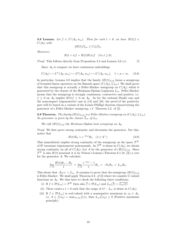**3.8 Lemma.** Let  $f \in L^1(A_0, w_m)$ . Then for each  $t > 0$ , we have  $H(t)f \in L^1(A_0, w_m)$ .  $C(A_0)$  with

$$
||H(t)f||_{\infty} \leq C_t ||f||_1.
$$

Moreover,

$$
H(t+s)f = H(t)H(s)f \quad (\forall s, t \ge 0).
$$

Proof. This follows directly from Proposition 3.4 and Lemma 3.6 (c).  $\Box$ 

Since  $A_0$  is compact we have continuous embeddings

$$
C(A_0) \hookrightarrow L^{\infty}(A_0, w_m) \hookrightarrow L^p(A_0, w_m) \hookrightarrow L^1(A_0, w_m), \quad 1 < p < \infty. \tag{3.8}
$$

In particular, Lemma 3.8 implies that the family  $(H(t))_{t>0}$  forms a semigroup of bounded linear operators on the Banach space  $(C(A_0), \|.\|_{\infty})$ . We shall prove that this semigroup is actually a Feller-Markov semigroup on  $C(A_0)$  which is generated by the closure of the Heckman-Opdam Laplacian  $L_m$ . Feller-Markov means that the semigroup is strongly continuous, contractive and positive, i.e.  $f \geq 0$  on  $A_0$  implies  $H(t)f \geq 0$  on  $A_0$ . As for the rational Dunkl case and the noncompact trigonometric case in [14] and [16], the proof of the positivity part will be based on a variant of the Lumer-Phillips theorem characterizing the generator of a Feller-Markov semigroup, c.f. Theorem 2.2. of [2].

**3.9 Theorem.** The family  $(H(t))_{t\geq0}$  is a Feller-Markov semigroup on  $(C(A_0), \|\cdot\|_{\infty})$ . Its generator is given by the closure  $L_m$  of  $L_m$ .

We call  $(H(t))_{t>0}$  the Heckman-Opdam heat semigroup on  $A_0$ .

Proof. We first prove strong continuity and determine the generator. For this, notice that

$$
H(t)R_{\lambda} = e^{-\theta_{\lambda}t}R_{\lambda} \quad (\lambda \in \Lambda^{+}).
$$
\n(3.9)

This immediately implies strong continuity of the semigroup on the space  $\mathcal{T}^W$ of W-invariant trigonometric polynomials. As  $\mathcal{T}^W$  is dense in  $C(A_0)$ , we obtain strong continuity on all of  $C(A_0)$ . Let A be the generator of  $(H(t))_{t>0}$ . Since  $\mathcal{T}^W$  is also  $H(t)$ -invariant it is by Nelson's Lemma (Theorem 6.1.18, [3]) a core for the generator A. We calculate

$$
\lim_{t \to 0} \frac{H(t)R_{\lambda} - R_{\lambda}}{t} = \lim_{t \to 0} \frac{e^{-\theta_{\lambda}t} - 1}{t} R_{\lambda} = -\theta_{\lambda} R_{\lambda} = L_m R_{\lambda}.
$$

This shows that  $A|_{T^W} = L_m$ . It remains to prove that the semigroup  $(H(t))_{t>0}$ is Feller-Markov. We shall apply Theorem 2.2. of [2] where we consider C-valued functions on  $A_0$ . We thus have to check the following three conditions:

- (i) If  $f \in \mathcal{D}(L_m) = \mathcal{T}^W$  then also  $\overline{f} \in \mathcal{D}(L_m)$  and  $L_m(\overline{f}) = \overline{L_m(f)}$ .
- (ii) There exists a  $t > 0$  such that the range of  $tI L_m$  is dense in  $C(A_0)$ .
- (iii) If  $f \in \mathcal{D}(L_m)$  is real-valued with a nonnegative maximum in  $x_0 \in A_0$ , i.e.  $0 \le f(x_0) = \max_{x \in A_0} f(x)$ , then  $L_m f(x_0) \le 0$  (Positive maximum principle).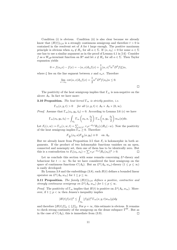Condition (i) is obvious. Condition (ii) is also clear because we already know that  $(H(t))_{t>0}$  is a strongly continuous semigroup and therefore  $t>0$  is contained in the resolvent set of  $A$  for  $t$  large enough. The positive maximum principle is obvious when  $x_0 \notin H_\alpha$  for all  $\alpha \in \Sigma$ . If  $\langle \alpha, x_0 \rangle = 0$  for some  $\alpha \in \Sigma$ one has to use a similar argument as in the proof of Lemma 4.1 in [14]: Consider f as a  $W_{\text{aff}}$ -invariant function on  $\mathbb{R}^q$  and let  $x \notin H_\alpha$  for all  $\alpha \in \Sigma$ . Then Taylor expansion yields

$$
0 = f(s_{\alpha}x) - f(x) = -\langle \alpha, x \rangle \partial_{\alpha}f(x) + \frac{1}{2} \langle \alpha, x \rangle^{2} \alpha^{T} D^{2} f(\xi) \alpha,
$$

where  $\xi$  lies on the line segment between x and  $s_{\alpha}x$ . Therefore

$$
\lim_{x \to x_0} \cot \langle \alpha, x \rangle \partial_{\alpha} f(x) = \frac{1}{2} \alpha^T D^2 f(x_0) \alpha \le 0.
$$

The positivity of the heat semigroup implies that  $\Gamma_m$  is non-negative on the alcove  $A_0$ . In fact we have more:

**3.10 Proposition.** The heat kernel  $\Gamma_m$  is strictly positive, i.e.

 $\Gamma_m(x, y, t) > 0$  for all  $(x, y, t) \in A_0 \times A_0 \times (0, \infty)$ .

*Proof.* Assume that  $\Gamma_m(x_0, y_0, t_0) = 0$ . According to Lemma 3.6 (c) we have

$$
\Gamma_m(x_0, y_0, t_0) = \int_{A_0} \Gamma_m \left( x_0, a, \frac{t_0}{2} \right) \Gamma_m \left( a, y_0, \frac{t_0}{2} \right) w_m(a) da.
$$

Let  $F_t(z, w) := \Gamma_m(z, w, t) = \sum_{\lambda \in \Lambda^+} \gamma_{\lambda} e^{-\theta_{\lambda} t} R_{\lambda}(z) R_{\lambda}(-w)$ . Now the positivity of the heat semigroup implies  $\Gamma_m \geq 0$ . Therefore

$$
F_{\frac{t_0}{2}}(x_0, a) F_{\frac{t_0}{2}}(a, y_0) \equiv 0 \quad \text{ on } A_0.
$$

But we already know from Proposition 3.5 that  $F_t$  is holomorphic in both arguments. If the product of two holomorphic functions vanishes on an open, connected and nonempty set, then one of them has to be identically zero. But this is a contradiction to  $F_t(x_0, x_0) = \sum r_\lambda e^{-\theta_\lambda t} |R_\lambda(x_0)|^2 > 0$ .  $\Box$ 

Let us conclude this section with some remarks concerning  $L^p$ -theory and behaviour for  $t \to \infty$ : So far we have considered the heat semigroup on the space of continuous functions  $C(A_0)$ . But an  $L^p(A_0, w_m)$ -theory  $(1 \leq p \leq \infty)$ is easily developed:

By Lemma 3.8 and the embeddings  $(3.8)$ , each  $H(t)$  defines a bounded linear operator on  $L^p(A_0, w_m)$  for  $1 \leq p \leq \infty$ .

**3.11 Proposition.** The family  $(H(t))_{t\geq0}$  defines a positive, contractive and strongly continuous semigroup on  $L^p(A_0, w_m)$  for  $1 \leq p \leq \infty$ .

*Proof.* The positivity of  $\Gamma_m$  implies that  $H(t)$  is positive on  $L^p(A_0, w_m)$ . Moreover, if  $1 \leq p < \infty$  then Jensen's inequality implies

$$
|H(t)f(x)|^p \le \int_{A_0} |f(y)|^p \Gamma_m(x, y, t) w_m(y) dy
$$

and therefore  $||H(t)f||_p \le ||f||_p$ . For  $p = \infty$ , this estimate is obvious. It remains to check strong continuity of the semigroup on the dense subspace  $\mathcal{T}^W$ . But as in the case of  $C(A_0)$ , this is immediate from (3.9).  $\Box$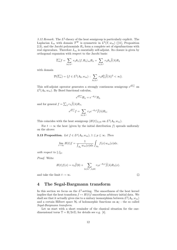3.12 Remark. The  $L^2$ -theory of the heat semigroup is particularly explicit. The Laplacian  $L_m$  with domain  $\mathcal{T}^W$  is symmetric in  $L^2(T, w_m)$  ([11], Proposition 2.3), and the Jacobi polynomials  $R_{\lambda}$  form a complete set of eigenfunctions with real eigenvalues. Therefore  $L_m$  is essentially self-adjoint. Its closure is given by orthogonal expansion with respect to the Jacobi basis:

$$
\overline{L_m}f = \sum_{\lambda \in \Lambda^+} r_{\lambda} \theta_{\lambda} \langle f, R_{\lambda} \rangle_m R_{\lambda} = \sum_{\lambda \in \Lambda^+} r_{\lambda} \theta_{\lambda} \widehat{f}(\lambda) R_{\lambda}
$$

with domain

$$
\mathcal{D}(\overline{L_m}) = \{ f \in L^2(A_0, w_m) : \sum_{\lambda \in \Lambda^+} r_{\lambda} \theta_{\lambda}^2 |\widehat{f}(\lambda)|^2 < \infty \}.
$$

This self-adjoint operator generates a strongly continuous semigroup  $e^{tL_m}$  on  $L^2(A_0, w_m)$ . By Borel functional calculus,

$$
e^{t\overline{L_m}}R_\lambda = e^{-\theta_\lambda t}R_\lambda
$$

and for general  $f = \sum_{\lambda} r_{\lambda} \widehat{f}(\lambda) R_{\lambda}$ ,

$$
e^{t\overline{L_m}}f = \sum_{\lambda \in \Lambda^+} r_{\lambda} e^{-\theta_{\lambda} t} \widehat{f}(\lambda) R_{\lambda}.
$$

This coincides with the heat semigroup  $(H(t))_{t\geq0}$  on  $L^2(A_0, w_m)$ .

For  $t \to \infty$  the heat (given by the initial distribution f) spreads uniformly on the alcove:

**3.13 Proposition.** Let  $f \in L^p(A_0, w_m)$ ,  $1 \leq p \leq \infty$ . Then

$$
\lim_{t \to \infty} H(t)f = \frac{1}{\int_{A_0} w_m(x) dx} \int_{A_0} f(x) w_m(x) dx.
$$

with respect to  $\Vert . \Vert_p$ .

Proof. Write

$$
H(t)f(x) = r_0 \hat{f}(0) + \sum_{\lambda \in \Lambda^+, \lambda \neq 0} r_{\lambda} e^{-\theta_{\lambda} t} \hat{f}(\lambda) R_{\lambda}(x).
$$

and take the limit  $t \to \infty$ .

## 4 The Segal-Bargmann transform

In this section we focus on the  $L^2$ -setting. The smoothness of the heat kernel implies that the heat transform  $f \mapsto H(t)f$  smoothens arbitrary initial data. We shall see that it actually gives rise to a unitary isomorphism between  $L^2(A_0, w_m)$ and a certain Hilbert space  $\mathcal{H}_t$  of holomorphic functions on  $\mathfrak{a}_{\mathbb{C}}$  - the so called Segal-Bargmann transform.

Let us start with a short reminder of the classical situation for the onedimensional torus  $\mathbb{T} = \mathbb{R}/2\pi\mathbb{Z}$ ; for details see e.g. [4].

 $\Box$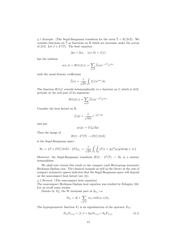4.1 Example. (The Segal-Bargmann transform for the torus  $\mathbb{T} = \mathbb{R}/2\pi\mathbb{Z}$ ). We consider functions on  $\mathbb T$  as functions on  $\mathbb R$  which are invariant under the action of  $2\pi\mathbb{Z}$ . Let  $f \in L^2(\mathbb{T})$ . The heat equation

$$
\Delta u = \partial_t u, \quad u(x,0) = f(x)
$$

has the solution

$$
u(x,t) = H(t)f(x) := \sum_{n \in \mathbb{Z}} \widehat{f}(n)e^{-n^2t}e^{inx}.
$$

with the usual Fourier coefficients

$$
\widehat{f}(n) = \frac{1}{\sqrt{2\pi}} \int_{\mathbb{T}} f(x) e^{inx} dx.
$$

The function  $H(t)$  f extends holomorphically to a function on  $\mathbb C$  which is  $2\pi\mathbb Z$ periodic in the real part of its argument:

$$
H(t)f(z) = \sum_{n \in \mathbb{Z}} \hat{f}(n)e^{-n^2t}e^{inz}.
$$

Consider the heat kernel on R,

$$
\gamma_t^1(y) = \frac{1}{\sqrt{4\pi t}} e^{-|y|^2/4t}
$$

and put

$$
\rho_t(y) := 2\gamma_{2t}^1(2y).
$$

Then the image of

$$
H(t): L^2(\mathbb{T}) \to \mathcal{O}(\mathbb{C}/2\pi\mathbb{Z})
$$

is the Segal-Bargmann space

$$
\mathcal{H}_t := \{ F \in \mathcal{O}(\mathbb{C}/2\pi\mathbb{Z}) : ||F||_{\mathcal{H}_t} := \frac{1}{\sqrt{2\pi}} \int_{\mathbb{T}} \int_{\mathbb{R}} |F(x+iy)|^2 \rho_t(y) dx dy \le \infty \}.
$$

Moreover, the Segal-Bargmann transform  $H(t) : L^2(\mathbb{T}) \to \mathcal{H}_t$  is a unitary isomorphism.

We shall now extend this result to the compact (and Weyl-group invariant) Heckman-Opdam case. The classical example as well as the theory in the case of compact symmetric spaces indicates that the Segal-Bargmann space will depend on the noncompact heat kernel (see [4]).

4.2 Remark. (The noncompact heat equation) The noncompact Heckman-Opdam heat equation was studied by Schapira [16].

Let us recall some results:

Denote by  $D_m$  the W-invariant part of  $\Delta_m$ , i.e.

$$
D_m = \Delta + \sum_{\alpha \in \Sigma^+} m_\alpha \coth \langle \alpha, x \rangle \partial_\alpha.
$$

The hypergeometric function  $F_{\lambda}$  is an eigenfunction of the operator  $D_m$ :

$$
D_m F_{\lambda+\rho} = \langle \lambda, \lambda + 2\rho \rangle F_{\lambda+\rho} = \theta_\lambda F_{\lambda+\rho}.
$$
 (4.1)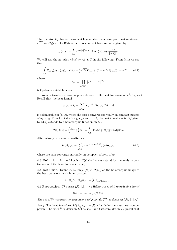The operator  $D_m$  has a closure which generates the noncompact heat semigroup  $e^{tD_m}$  on  $C_0(\mathfrak{a})$ . The W-invariant noncompact heat kernel is given by

$$
\gamma_t^1(x,y) = \int_{i\mathfrak{a}} e^{-t(|\lambda|^2 + |\rho|^2)} F_{\lambda}(x) F_{\lambda}(-y) \frac{d\lambda}{|c(\lambda)|^2}.
$$

We will use the notation  $\gamma_t^1(x) := \gamma_t^1(x, 0)$  in the following. From (4.1) we see that

$$
\int_{\mathfrak{a}} F_{\lambda+\rho}(x)\gamma_t^1(x)\delta_m(x)dx = \left(e^{t\overline{D_m}}F_{\lambda+\rho}\right)(0) = e^{t\theta_\lambda}F_{\lambda+\rho}(0) = e^{t\theta_\lambda} \qquad (4.2)
$$

where

$$
\delta_m := \prod_{\alpha \in \Sigma^+} \left| e^{\alpha} - e^{-\alpha} \right|^{m_{\alpha}}
$$

is Opdam's weight function.

We now turn to the holomorphic extension of the heat transform on  $L^2(A_0, w_m)$ . Recall that the heat kernel

$$
\Gamma_m(z, w, t) = \sum_{\lambda \in \Lambda^+} r_{\lambda} e^{-\theta_{\lambda} t} R_{\lambda}(z) R_{\lambda}(-w).
$$

is holomorphic in  $(z, w)$ , where the series converges normally on compact subsets of  $\mathfrak{a}_{\mathbb{C}} \times \mathfrak{a}_{\mathbb{C}}$ . Thus for  $f \in L^2(A_0, w_m)$  and  $t > 0$ , the heat transform  $H(t)f$  given by (3.7) extends to a holomorphic function on  $a_{\mathbb{C}}$ ,

$$
H(t)f(z) = \left(e^{t\overline{L_m}}f\right)(z) = \int_{A_0} \Gamma_m(z, y, t)f(y)w_m(y)dy.
$$

Alternatively, this can be written as

$$
H(t)f(z) = \sum_{\lambda \in \Lambda^+} r_{\lambda} e^{-(\lambda, \lambda + 2\rho)t} \hat{f}(\lambda) R_{\lambda}(z)
$$
\n(4.3)

where the sum converges normally on compact subsets of  $a_{\mathbb{C}}$ .

**4.3 Definition.** In the following  $H(t)$  shall always stand for the analytic continuation of the heat transform to  $a_{\mathbb{C}}$ .

**4.4 Definition.** Define  $\mathcal{F}_t := \text{Im}(H(t)) \subset \mathcal{O}(\mathfrak{a}_{\mathbb{C}})$  as the holomorphic image of the heat transform with inner product

$$
\langle H(t)f, H(t)g \rangle_{\mathcal{F}_t} := \langle f, g \rangle_{L^2(A_0, w_m)}.
$$

**4.5 Proposition.** The space  $(\mathcal{F}_t, \|\cdot\|_t)$  is a Hilbert space with reproducing kernel

$$
K_t(z, w) = \Gamma_m(w, \overline{z}, 2t).
$$

The set of W-invariant trigonometric polynomials  $T^W$  is dense in  $(\mathcal{F}_t, \|\cdot\|_{\mathcal{F}_t})$ .

*Proof.* The heat transform  $L^2(A_0, w_m) \to \mathcal{F}_t$  is by definition a unitary isomorphism. The set  $\mathcal{T}^W$  is dense in  $L^2(A_0, w_m)$  and therefore also in  $\mathcal{F}_t$  (recall that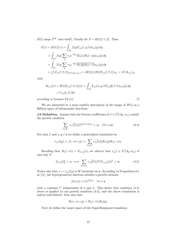$H(t)$  maps  $\mathcal{T}^W$  onto itself). Finally let  $F = H(t)f \in \mathcal{F}_t$ . Then

$$
F(z) = H(t)f(z) = \int_{A_0} f(y)\Gamma_m(z, y, t)w_m(y) dy
$$
  
= 
$$
\int_{A_0} f(y) \sum_{\lambda} r_{\lambda} e^{-t\theta_{\lambda}} R_{\lambda}(z) R_{\lambda}(-y)w_m(y) dy
$$
  
= 
$$
\int_{A_0} f(y) \sum_{\lambda} r_{\lambda} e^{-t\theta_{\lambda}} \overline{R_{\lambda}(\overline{y})} R_{\lambda}(-\overline{z}) w_m(y) dy
$$
  
= 
$$
\langle f, \Gamma_m(\overline{\cdot}, \overline{z}, t) \rangle_{L^2(A_0, w_m)} = \langle H(t)f, H(t) \Gamma_m(\overline{\cdot}, \overline{z}, t) \rangle_{\mathcal{F}_t} = \langle F, K_{t, z} \rangle_{\mathcal{F}_t}
$$

with

$$
K_{t,z}(w) = H(t)\Gamma_m(\overline{\cdot}, \overline{z}, t)(w) = \int_{A_0} \Gamma_m(w, y, t)\Gamma_m(\overline{y}, \overline{z}, t)w_m(y) dy
$$
  
=  $\Gamma_m(w, \overline{z}, 2t)$ 

according to Lemma 3.6 (c).

 $\Box$ 

We are interested in a more explicit description of the image of  $H(t)$  as a Hilbert space of holomorphic functions.

**4.6 Definition.** Assume that the Fourier coefficients of  $f \in L^2(A_0, w_m)$  satisfy the growth condition

$$
\sum_{\lambda \in \Lambda^+} r_{\lambda} |\widehat{f}(\lambda)|^2 e^{2|\lambda + \rho||x|} < \infty \quad (\forall x \in \mathfrak{a}).\tag{4.4}
$$

For such f and  $x, y \in \mathfrak{a}$  we define a generalized translation by

$$
\tau_{ix}f(y) := f(-ix * y) := \sum_{\lambda \in \Lambda^+} r_{\lambda} \widehat{f}(\lambda) R_{\lambda}(y) R_{\lambda}(-ix).
$$

Recalling that  $R_{\lambda}(-ix) = F_{\lambda+\rho}(x)$ , we observe that  $\tau_{ix} f \in L^2(A_0, w_m)$  if and only if

$$
\|\tau_{ix}f\|_2^2 < \infty \iff \sum_{\lambda \in \Lambda^+} r_\lambda |\widehat{f}(\lambda)|^2 |F_{\lambda+\rho}(x)|^2 < \infty. \tag{4.5}
$$

Notice also that  $x \mapsto \tau_{ix}f(y)$  is W-invariant on **a**. According to Proposition 6.1 in [11], the hypergeometric function satisfies a growth estimate

$$
|F_{\lambda}(x)| \le Ce^{|\lambda| |x|} \quad \forall x \in \mathfrak{a}
$$

with a constant C independent of x and  $\lambda$ . This shows that condition (4.5) above is implied by our growth condition (4.4), and the above translation is indeed well-defined. Note also that

$$
R_{\lambda}(-ix*y) = R_{\lambda}(-ix)R_{\lambda}(y).
$$

Next we define the target space of the Segal-Bargmann transform: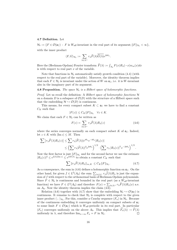#### 4.7 Definition. Let

 $\mathcal{H}_t := \{F \in \mathcal{O}(\mathfrak{a}_{\mathbb{C}}) : F \text{ is } W_{\text{aff}}\text{-invariant in the real part of its argument}; ||F||_{\mathcal{H}_t} < \infty\},\$ with the inner product

$$
\langle F, G \rangle_{\mathcal{H}_t} := \sum_{\lambda \in \Lambda^+} r_{\lambda} \widehat{F}(\lambda) \overline{\widehat{G}(\lambda)} e^{2t\theta_{\lambda}}.
$$

Here the (Heckman-Opdam) Fourier transform  $\widehat{F}(\lambda) := \int_{A_0} F(x) R_\lambda(-x) w_m(x) dx$ is with respect to real part  $x$  of the variable.

Note that functions in  $\mathcal{H}_t$  automatically satisfy growth condition (4.4) (with respect to the real part of the variable). Moreover, the identity theorem implies that each  $F \in \mathcal{H}_t$  is invariant under the action of W on  $\mathfrak{a}_{\mathbb{C}}$ , i.e. it is W-invariant also in the imaginary part of its argument.

**4.8 Proposition.** The space  $\mathcal{H}_t$  is a Hilbert space of holomorphic functions.

*Proof.* Let us recall the definition: A Hilbert space of holomorphic functions  $H$ on a domain D is a subspace of  $\mathcal{O}(D)$  with the structure of a Hilbert space such that the embedding  $\mathcal{H} \hookrightarrow \mathcal{O}(D)$  is continuous.

This means, for every compact subset  $K \subset \mathfrak{a}_{\mathbb{C}}$  we have to find a constant  $C_K$  such that

$$
|F(z)| \le C_K ||F||_{\mathcal{H}_t} \quad \forall z \in K.
$$

We claim that each  $F \in \mathcal{H}_t$  can be written as

$$
F(z) = \sum_{\lambda \in \Lambda^+} r_{\lambda} \widehat{F}(\lambda) R_{\lambda}(z)
$$
\n(4.6)

where the series converges normally on each compact subset  $K$  of  $\mathfrak{a}_{\mathbb{C}}$ . Indeed, let  $z \in K$  with  $|\text{Im } z| \leq M$ . Then

$$
\sum |r_{\lambda}\widehat{F}(\lambda)R_{\lambda}(z)| \leq \sum r_{\lambda}|\widehat{F}(\lambda)|e^{t\theta_{\lambda}}e^{-t\theta_{\lambda}}|R_{\lambda}(z)|
$$
  

$$
\leq \left(\sum r_{\lambda}|\widehat{F}(\lambda)|^{2}e^{2t\theta_{\lambda}}\right)^{1/2} \cdot \left(\sum r_{\lambda}|R_{\lambda}(z)|^{2}e^{-2t\theta_{\lambda}}\right)^{1/2}.
$$

Now the first factor is just  $||F||_{\mathcal{H}_t}$  and for the second factor we use the estimate  $|R_{\lambda}(z)|^2 \leq e^{2|\lambda| |\text{Im } z|} \leq e^{2M|\lambda|}$  to obtain a constant  $C_K$  such that

$$
\sum \|r_{\lambda}\widehat{F}(\lambda)R_{\lambda}\|_{\infty,K} \leq C_K \|F\|_{\mathcal{H}_t}.
$$
\n(4.7)

As a consequence, the sum in (4.6) defines a holomorphic function on  $\mathfrak{a}_{\mathbb{C}}$ . On the other hand, for given  $f \in L^2(A_0)$  the sum  $\sum_{\lambda \in \Lambda^+} r_{\lambda} \widehat{f}(\lambda) R_{\lambda}$  is just the expansion of  $f$  with respect to the orthonormal basis of Heckman-Opdam polynomials. Since  $F \in \mathcal{H}_t$  is continuous and bounded in the real part (as a  $W_{\text{aff}}$ -invariant function) we have  $F \in L^2(A_0)$  and therefore  $F(x) = \sum_{\lambda \in \Lambda^+} r_\lambda \widehat{F}(\lambda) R_\lambda(x)$  a.e. on  $A_0$ . Now the identity theorem implies the claim (4.6).

Relation (4.6) together with (4.7) show that the embedding  $\mathcal{H}_t \hookrightarrow \mathcal{O}(\mathfrak{a}_{\mathbb{C}})$  is continuous. It remains to check that  $\mathcal{H}_t$  is complete with respect to the given inner product  $\langle \cdot, \cdot \rangle_{\mathcal{H}_t}$ . For this, consider a Cauchy sequence  $(F_n)$  in  $\mathcal{H}_t$ . Because of the continuous embedding it converges uniformly on compact subsets of  $a_{\mathbb{C}}$ to some limit  $F \in \mathcal{O}(\mathfrak{a}_{\mathbb{C}})$  which is  $W_{\text{aff}}$ -periodic in its real part. In particular  $(F_n)$  converges uniformly on the alcove  $A_0$ . This implies that  $\widehat{F}_n(\lambda) \to \widehat{F}(\lambda)$ <br>uniformly in  $\lambda$ , and therefore  $\lim_{n \to \infty} F_n = F$  in  $\mathcal{H}_t$ . uniformly in  $\lambda$ , and therefore  $\lim_{n\to\infty} F_n = F$  in  $\mathcal{H}_t$ .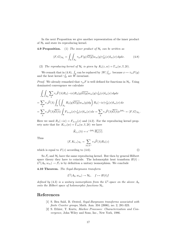In the next Proposition we give another representation of the inner product of  $\mathcal{H}_t$  and state its reproducing kernel.

**4.9 Proposition.** (1) The inner product of  $\mathcal{H}_t$  can be written as

$$
\langle F, G \rangle_{\mathcal{H}_t} = \int_{\mathfrak{a}} \int_{A_0} \tau_{ix} F(y) \overline{G(y)} w_m(y) \gamma_{2t}^1(x) \delta_m(x) dy dx.
$$
 (4.8)

(2) The reproducing kernel of  $\mathcal{H}_t$  is given by  $K_t(z, w) = \Gamma_m(w, \overline{z}, 2t)$ .

We remark that in (4.8),  $\int_{\mathfrak{a}} \text{ can be replaced by } |W| \int_{\mathfrak{a}^+} \text{ because } x \mapsto \tau_{ix} F(y)$ and the heat kernel  $\gamma_{2t}^1$  are  $\tilde{W}$ -invariant.

*Proof.* We already remarked that  $\tau_{ix}F$  is well defined for functions in  $\mathcal{H}_t$ . Using dominated convergence we calculate

$$
\int_{\mathfrak{a}} \int_{A_0} \sum_{\lambda} r_{\lambda} \widehat{F}(\lambda) R_{\lambda}(-ix) R_{\lambda}(y) \overline{G(y)} w_{m}(y) \gamma_{2t}^{1}(x) \delta_{m}(x) dy dx
$$
  
\n
$$
= \sum_{\lambda} r_{\lambda} \widehat{F}(\lambda) \int_{\mathfrak{a}} \left( \int_{A_0} R_{\lambda}(y) \overline{G(y)} w_{m}(y) dy \right) R_{\lambda}(-ix) \gamma_{2t}^{1}(x) \delta_{m}(x) dx
$$
  
\n
$$
= \sum_{\lambda} r_{\lambda} \widehat{F}(\lambda) \overline{\widehat{G}(\lambda)} \int_{\mathfrak{a}} F_{\lambda+\rho}(x) \gamma_{2t}^{1}(x) \delta_{m}(x) dx = \sum_{\lambda} r_{\lambda} \widehat{F}(\lambda) \overline{\widehat{G}(\lambda)} e^{2t\theta_{\lambda}} = \langle F, G \rangle_{\mathcal{H}_{t}}.
$$

Here we used  $R_{\lambda}(-ix) = F_{\lambda+\rho}(x)$  and (4.2). For the reproducing kernel property note that for  $K_{t,z}(w) = \Gamma_m(w, \overline{z}, 2t)$  we have

$$
\widehat{K}_{t,z}(\lambda) = e^{-2t\theta_\lambda} \overline{R_\lambda(z)}.
$$

Thus

$$
\langle F, K_{t,z} \rangle_{\mathcal{H}_t} = \sum_{\lambda \in \Lambda^+} r_{\lambda} \widehat{F}(\lambda) R_{\lambda}(z)
$$

 $\Box$ 

which is equal to  $F(z)$  according to (4.6).

So  $\mathcal{F}_t$  and  $\mathcal{H}_t$  have the same reproducing kernel. But then by general Hilbert space theory they have to coincide. The holomorphic heat transform  $H(t)$ :  $L^2(A_0, w_m) \to \mathcal{F}_t$  is by definition a unitary isomorphism. We conclude

4.10 Theorem. The Segal-Bargmann transform

$$
L^2(A_0, w_m) \to \mathcal{H}_t, \quad f \mapsto H(t)f
$$

defined by (4.3) is a unitary isomorphism from the  $L^2$ -space on the alcove  $A_0$ onto the Hilbert space of holomorphic functions  $\mathcal{H}_t$ .

#### References

- [1] S. Ben Saïd, B. Ørsted, Segal-Bargmann transforms associated with finite Coxeter groups, Math. Ann. 334 (2006), no. 2, 281-323.
- [2] S. Ethier, T. Kurtz, Markov Processes: Characterization and Convergence, John Wiley and Sons, Inc., New York, 1986.